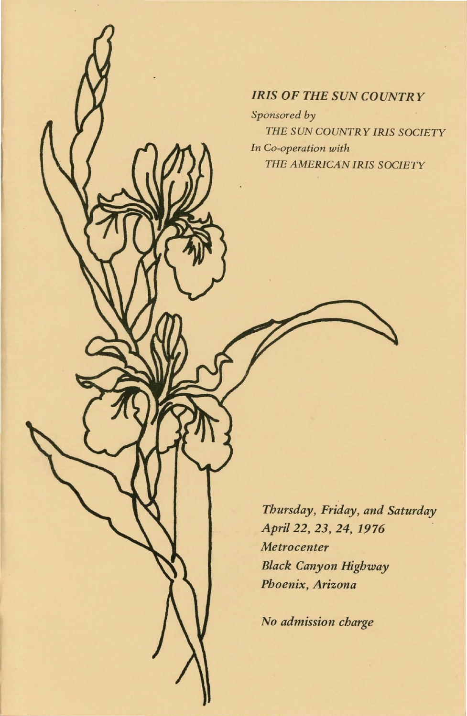# *IRIS OF THE SUN COUNTRY*

*Sponsored by THE SUN COUNTRY IRIS SOCIETY In Co-operation with THE AMERICAN IRIS SOCIETY* 

*Thursday, Friday, and Saturday*  April 22, **23, 24, 1976**  *Metrocenter Black Canyon Highway Phoenix, Arizona* 

*No admission charge*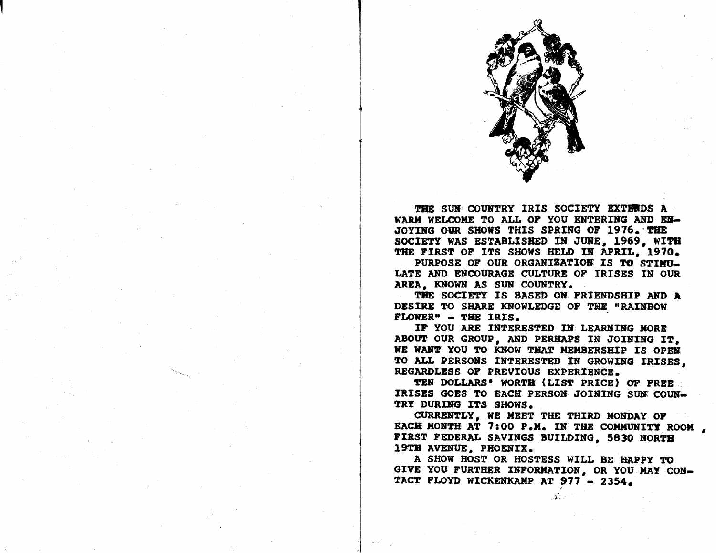

THE SUN COUNTRY IRIS SOCIETY EXTERDS A WARM WELCOME TO ALL OF YOU ENTERING AND EN-JOYING OUR SHOWS THIS SPRING OF 1976. THE SOCIETY WAS ESTABLISHED IN. JUNE, 1969, WITH THE FIRST OF ITS SHOWS HELD IN APRIL. 1970.

PURPOSE OF OUR ORGANIZATION IS TO STIMU-LATE AND ENCOURAGE CULTURE OP IRISES IN OUR AREA, KNOWN AS SUN COUNTRY.

THE SOCIETY IS BASED ON FRIENDSHIP AND A DESIRE TO SHARE KNOWLEDGE OF THE "RAINBOW FLOWER" - THE IRIS.

 $\vert$ 

i

 $\vert$ 

IF YOU ARE INTERESTED IN LEARNING MORE ABOUT OUR GROUP, AND PERHAPS IN JOINING IT. WE WANT YOU TO KNOW THAT MEMBERSHIP IS OPEN TO ALL PERSOBS INTERESTED IN GROWIRG IRISES, REGARDLESS OF PREVIOUS EXPERIENCE.

TEN DOLLARS' WORTH (LIST PRICE) OF FREE IRISES GOES TO EACH PERSON JOINING SUN COUN. TRY DURING ITS SHOWS.

CURREHTLY, WE MEET THE THIRD MONDAY OP EACH MONTH AT 7:00 P.M. IN THE COMMUNITY ROOM, PIRST FEDERAL SAVINGS BUILDING. 5830 NORTH 19TH AVENUE. PHOENIX.

A SHOW HOST OR HOSTESS WILL BE HAPPY TO GIVE YOU FURTHER INPORMATION, OR YOU MAY CON-TACT FLOYD WICKENKAMP AT 977 - 2354.

l-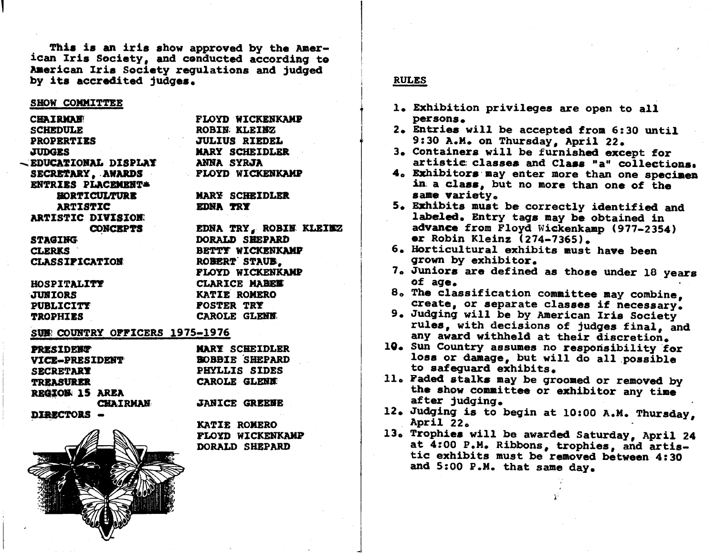This is an iris show approved by the American Iris Society, and conducted according to American Iris Society requlations and judged by its accredited judges.

#### SHOW COMMITTEE

**CHAIRMAN SCHEDULE PROPERTIES JUDGES** - EDUCATIONAL DISPLAY SECRETARY, AWARDS ENTRIES PLACEMENT= **HORTICULTURE ARTISTIC ARTISTIC DIVISION: CONCEPTS STAGING CLERKS CLASSIFICATION** HOSPITALITY

**ROBIN KLEINZ JULIUS RIEDEL MARY SCHEIDLER ANNA SYRJA FLOYD WICKENKAMP MARY SCHEIDLER** EDNA TRY EDNA TRY, ROBIN KLEIMZ

**FLOYD WICKENKAMP** 

**JUNIORS** PUBLICITY **TROPHIES** 

BETTY WICKENKAMP ROBERT STAUB. FLOYD WICKENKAMP **CLARICE MARKE** KATIE ROMERO **FOSTER TRY** CAROLE GLENN

DORALD SHEPARD

# SUM COUNTRY OFFICERS 1975-1976

| <b>PRESIDENT</b>                  | <b>MARY SCHEIDLER</b> |  |  |  |
|-----------------------------------|-----------------------|--|--|--|
| VICE-PRESIDENT                    | <b>BOBBIE SHEPARD</b> |  |  |  |
| <b>SECRETARY</b>                  | PHYLLIS SIDES         |  |  |  |
| <b>TREASURER</b>                  | <b>CAROLE GLENN</b>   |  |  |  |
| REGION 15 AREA<br><b>CHAIRMAN</b> | <b>JANICE GREENE</b>  |  |  |  |
| DIRECTORS -                       |                       |  |  |  |



**KATIE ROMERO PLOYD WICKENKAMP** DORALD SHEPARD

# **RULES**

- 1. Exhibition privileges are open to all persons.
- 2. Entries will be accepted from 6:30 until 9:30 A.M. on Thursday, April 22.
- 3. Containers will be furnished except for artistic classes and Class "a" collections.
- 4. Exhibitors may enter more than one specimen in a class, but no more than one of the same variety.
- 5. Exhibits must be correctly identified and labeled. Entry tags may be obtained in advance from Floyd Wickenkamp (977-2354) or Robin Kleinz (274-7365).
- 6. Horticultural exhibits must have been grown by exhibitor.
- 7. Juniors are defined as those under 18 years of age.
- 8. The classification committee may combine. create, or separate classes if necessary.
- 9. Judging will be by American Iris Society rules, with decisions of judges final, and any award withheld at their discretion.
- 10. Sun Country assumes no responsibility for loss or damage, but will do all possible to safequard exhibits.
- 11. Faded stalks may be groomed or removed by the show committee or exhibitor any time after judging.
- 12. Judging is to begin at 10:00 A.M. Thursday. April 22.
- 13. Trophies will be awarded Saturday, April 24 at 4:00 P.M. Ribbons, trophies, and artistic exhibits must be removed between 4:30 and 5:00 P.M. that same day.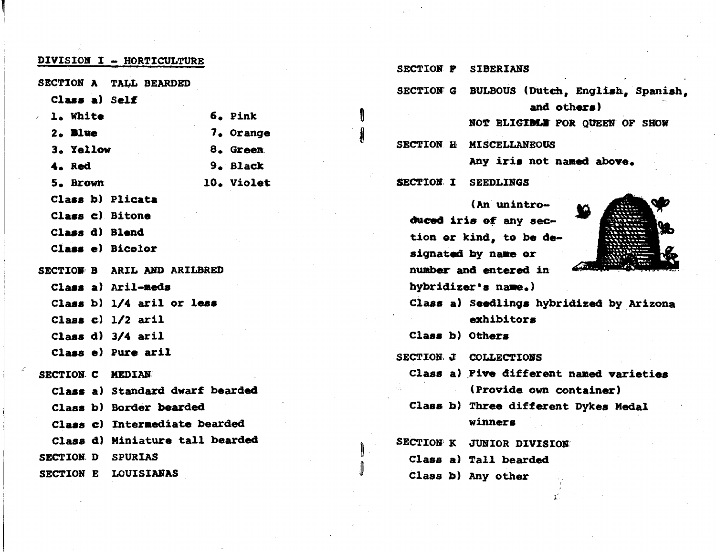| DIVISION I - HORTICULTURE |                                 |  |  |  |  |
|---------------------------|---------------------------------|--|--|--|--|
|                           | SECTION A TALL BEARDED          |  |  |  |  |
| Class a) Self             |                                 |  |  |  |  |
| / l. White                | 6. Pink                         |  |  |  |  |
| $2.$ Blue                 | 7. Orange                       |  |  |  |  |
| 3. Yellow                 | 8. Green                        |  |  |  |  |
| 4. Red                    | 9. Black                        |  |  |  |  |
| 5. Brown                  | 10. Violet                      |  |  |  |  |
| Class b) Plicata          |                                 |  |  |  |  |
| Class c) Bitone           |                                 |  |  |  |  |
| Class d) Blend            |                                 |  |  |  |  |
| Class e) Bicolor          |                                 |  |  |  |  |
|                           | SECTION B ARIL AND ARILBRED     |  |  |  |  |
|                           | Class a) Aril-meds              |  |  |  |  |
|                           | Class b) $1/4$ aril or less     |  |  |  |  |
|                           | Class $c)$ $1/2$ aril           |  |  |  |  |
|                           | Class $d)$ 3/4 aril             |  |  |  |  |
|                           | Class e) Pure aril              |  |  |  |  |
| SECTION C MEDIAN          |                                 |  |  |  |  |
|                           | Class a) Standard dwarf bearded |  |  |  |  |
|                           | Class b) Border bearded         |  |  |  |  |
|                           | Class c) Intermediate bearded   |  |  |  |  |
|                           | Class d) Miniature tall bearded |  |  |  |  |
| SECTION D SPURIAS         |                                 |  |  |  |  |
|                           | SECTION E LOUISIANAS            |  |  |  |  |

- SECTION P **SIBERIANS**
- SECTION G BULBOUS (Dutch, English, Spanish, and others)

NOT ELIGIBLE FOR QUEEN OF SHOW

SECTION H MISCELLANEOUS

Any iris not named above.

SECTION I SEEDLINGS

(An unintroduced iris of any section or kind, to be designated by name or number and entered in hybridizer's name.)



- Class a) Seedlings hybridized by Arizona exhibitors
- Class b) Others

SECTION J COLLECTIONS

- Class a) Five different named varieties (Provide own container)
- Class b) Three different Dykes Medal winners
- SECTION K JUNIOR DIVISION
	- Class a) Tall bearded
	- Class b) Any other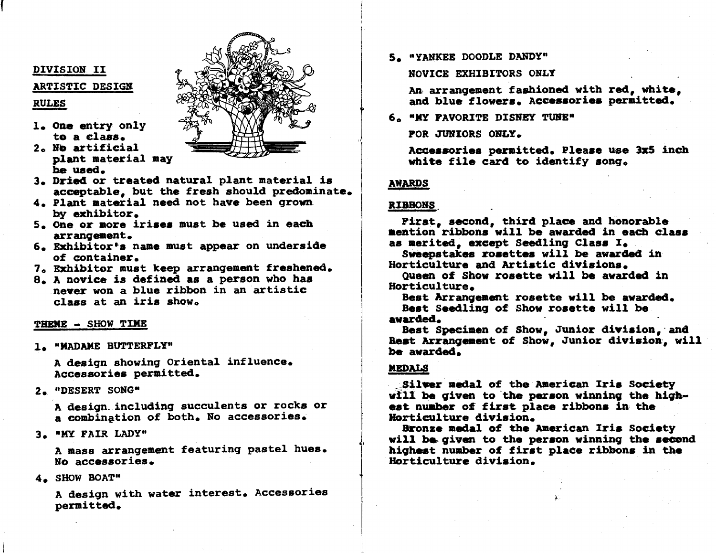### DIVISION II

#### ARTISTIC DESIGN

## **RULES**

- 1. One entry only te a class.
- 2. No artificial plant material may be used.



- 3. Dried or treated natural plant material is acceptable, but the fresh should predominate.
- 4. Plant material need not have been grown by exhibitor.
- 5. One or more irises must be used in each arrangement.
- 6. Exhibitor's name must appear on underside of container.
- 7. Exhibitor must keep arrangement freshened.
- 8. A novice is defined as a person who has never won a blue ribbon in an artistic  $class$  at an iris show.

#### THEME - SHOW TIME

1. "MADAME BUTTERFLY"

A design showing Oriental influence. Accessories permitted.

2. "DESERT SONG"

A design including succulents or rocks or a combination of both. No accessories.

3. "MY FAIR LADY"

A mass arrangement featuring pastel hues. No accessories.

4. SHOW BOAT"

A design with water interest. Accessories permitted.

5. "YANKEE DOODLE DANDY"

## NOVICE EXHIBITORS ONLY

An arrangement fashioned with red, white, and blue flowers. Accessories permitted.

6. "MY PAVORITE DISNEY TUNE"

POR JUNIORS ONLY.

Accessories permitted. Please use 3x5 inch white file card to identify song.

# **AWARDS**

### **RIBBONS**

Pirst, second, third place and honorable mention ribbons will be awarded in each class as merited, except Seedling Class I.

Sweepstakes rosettes will be awarded in Horticulture and Artistic divisions.

Queen of Show rosette will be awarded in Horticulture.

Best Arrangement rosette will be awarded. Best Seedling of Show rosette will be avarded.

Best Specimen of Show, Junior division, and Rest Arrangement of Show, Junior division, will be awarded.

### **MEDALS**

Silver medal of the American Iris Society will be given to the person winning the highest number of first place ribbons in the Horticulture division.

Bronze medal of the American Iris Society will be given to the person winning the second highest number of first place ribbons in the Horticulture division.